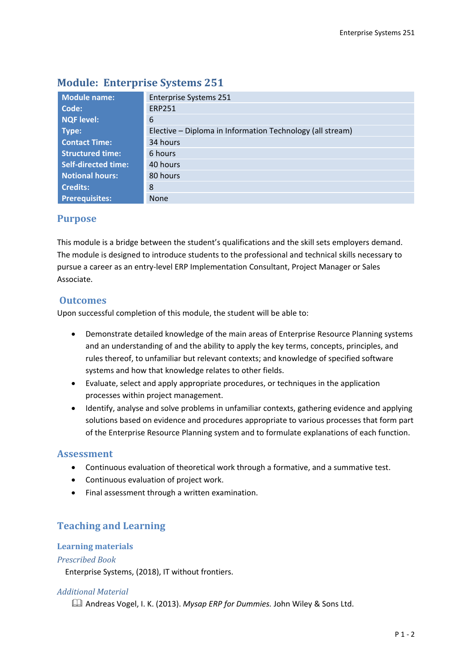| <b>Module name:</b>        | <b>Enterprise Systems 251</b>                             |  |  |  |
|----------------------------|-----------------------------------------------------------|--|--|--|
| Code:                      | <b>ERP251</b>                                             |  |  |  |
| <b>NQF level:</b>          | 6                                                         |  |  |  |
| Type:                      | Elective – Diploma in Information Technology (all stream) |  |  |  |
| <b>Contact Time:</b>       | 34 hours                                                  |  |  |  |
| <b>Structured time:</b>    | 6 hours                                                   |  |  |  |
| <b>Self-directed time:</b> | 40 hours                                                  |  |  |  |
| <b>Notional hours:</b>     | 80 hours                                                  |  |  |  |
| <b>Credits:</b>            | 8                                                         |  |  |  |
| <b>Prerequisites:</b>      | <b>None</b>                                               |  |  |  |

# **Module: Enterprise Systems 251**

### **Purpose**

This module is a bridge between the student's qualifications and the skill sets employers demand. The module is designed to introduce students to the professional and technical skills necessary to pursue a career as an entry-level ERP Implementation Consultant, Project Manager or Sales Associate.

### **Outcomes**

Upon successful completion of this module, the student will be able to:

- Demonstrate detailed knowledge of the main areas of Enterprise Resource Planning systems and an understanding of and the ability to apply the key terms, concepts, principles, and rules thereof, to unfamiliar but relevant contexts; and knowledge of specified software systems and how that knowledge relates to other fields.
- Evaluate, select and apply appropriate procedures, or techniques in the application processes within project management.
- Identify, analyse and solve problems in unfamiliar contexts, gathering evidence and applying solutions based on evidence and procedures appropriate to various processes that form part of the Enterprise Resource Planning system and to formulate explanations of each function.

### **Assessment**

- Continuous evaluation of theoretical work through a formative, and a summative test.
- Continuous evaluation of project work.
- Final assessment through a written examination.

## **Teaching and Learning**

#### **Learning materials**

#### *Prescribed Book*

Enterprise Systems, (2018), IT without frontiers.

#### *Additional Material*

Andreas Vogel, I. K. (2013). *Mysap ERP for Dummies.* John Wiley & Sons Ltd.